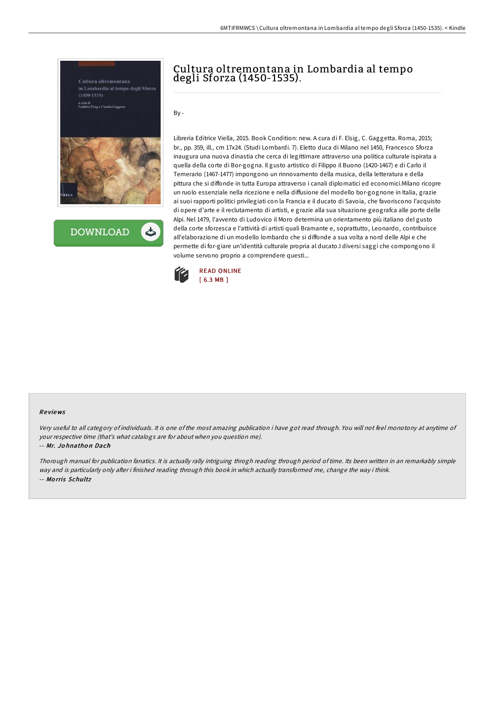

**DOWNLOAD** ٹ

# Cultura oltremontana in Lombardia al tempo degli Sforza (1450-1535).

By -

Libreria Editrice Viella, 2015. Book Condition: new. A cura di F. Elsig, C. Gaggetta. Roma, 2015; br., pp. 359, ill., cm 17x24. (Studi Lombardi. 7). Eletto duca di Milano nel 1450, Francesco Sforza inaugura una nuova dinastia che cerca di legittimare attraverso una politica culturale ispirata a quella della corte di Bor-gogna. Il gusto artistico di Filippo il Buono (1420-1467) e di Carlo il Temerario (1467-1477) impongono un rinnovamento della musica, della letteratura e della pittura che si diffonde in tutta Europa attraverso i canali diplomatici ed economici.Milano ricopre un ruolo essenziale nella ricezione e nella diffusione del modello bor-gognone in Italia, grazie ai suoi rapporti politici privilegiati con la Francia e il ducato di Savoia, che favoriscono l'acquisto di opere d'arte e il reclutamento di artisti, e grazie alla sua situazione geografca alle porte delle Alpi. Nel 1479, l'avvento di Ludovico il Moro determina un orientamento più italiano del gusto della corte sforzesca e l'attività di artisti quali Bramante e, soprattutto, Leonardo, contribuisce all'elaborazione di un modello lombardo che si diffonde a sua volta a nord delle Alpi e che permette di for-giare un'identità culturale propria al ducato.I diversi saggi che compongono il volume servono proprio a comprendere questi...



### Re views

Very useful to all category of individuals. It is one of the most amazing publication i have got read through. You will not feel monotony at anytime of your respective time (that's what catalogs are for about when you question me).

#### -- Mr. Jo hnatho <sup>n</sup> Dach

Thorough manual for publication fanatics. It is actually rally intriguing throgh reading through period of time. Its been written in an remarkably simple way and is particularly only after i finished reading through this book in which actually transformed me, change the way i think. -- Mo rris Schultz